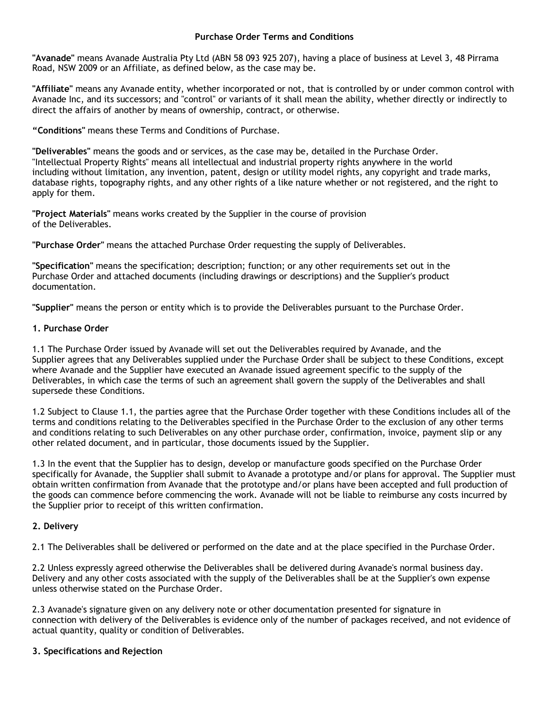### Purchase Order Terms and Conditions

"Avanade" means Avanade Australia Pty Ltd (ABN 58 093 925 207), having a place of business at Level 3, 48 Pirrama Road, NSW 2009 or an Affiliate, as defined below, as the case may be.

"Affiliate" means any Avanade entity, whether incorporated or not, that is controlled by or under common control with Avanade Inc, and its successors; and "control" or variants of it shall mean the ability, whether directly or indirectly to direct the affairs of another by means of ownership, contract, or otherwise.

"Conditions" means these Terms and Conditions of Purchase.

"Deliverables" means the goods and or services, as the case may be, detailed in the Purchase Order. "Intellectual Property Rights" means all intellectual and industrial property rights anywhere in the world including without limitation, any invention, patent, design or utility model rights, any copyright and trade marks, database rights, topography rights, and any other rights of a like nature whether or not registered, and the right to apply for them.

"Project Materials" means works created by the Supplier in the course of provision of the Deliverables.

"Purchase Order" means the attached Purchase Order requesting the supply of Deliverables.

"Specification" means the specification; description; function; or any other requirements set out in the Purchase Order and attached documents (including drawings or descriptions) and the Supplier's product documentation.

"Supplier" means the person or entity which is to provide the Deliverables pursuant to the Purchase Order.

### 1. Purchase Order

1.1 The Purchase Order issued by Avanade will set out the Deliverables required by Avanade, and the Supplier agrees that any Deliverables supplied under the Purchase Order shall be subject to these Conditions, except where Avanade and the Supplier have executed an Avanade issued agreement specific to the supply of the Deliverables, in which case the terms of such an agreement shall govern the supply of the Deliverables and shall supersede these Conditions.

1.2 Subject to Clause 1.1, the parties agree that the Purchase Order together with these Conditions includes all of the terms and conditions relating to the Deliverables specified in the Purchase Order to the exclusion of any other terms and conditions relating to such Deliverables on any other purchase order, confirmation, invoice, payment slip or any other related document, and in particular, those documents issued by the Supplier.

1.3 In the event that the Supplier has to design, develop or manufacture goods specified on the Purchase Order specifically for Avanade, the Supplier shall submit to Avanade a prototype and/or plans for approval. The Supplier must obtain written confirmation from Avanade that the prototype and/or plans have been accepted and full production of the goods can commence before commencing the work. Avanade will not be liable to reimburse any costs incurred by the Supplier prior to receipt of this written confirmation.

## 2. Delivery

2.1 The Deliverables shall be delivered or performed on the date and at the place specified in the Purchase Order.

2.2 Unless expressly agreed otherwise the Deliverables shall be delivered during Avanade's normal business day. Delivery and any other costs associated with the supply of the Deliverables shall be at the Supplier's own expense unless otherwise stated on the Purchase Order.

2.3 Avanade's signature given on any delivery note or other documentation presented for signature in connection with delivery of the Deliverables is evidence only of the number of packages received, and not evidence of actual quantity, quality or condition of Deliverables.

## 3. Specifications and Rejection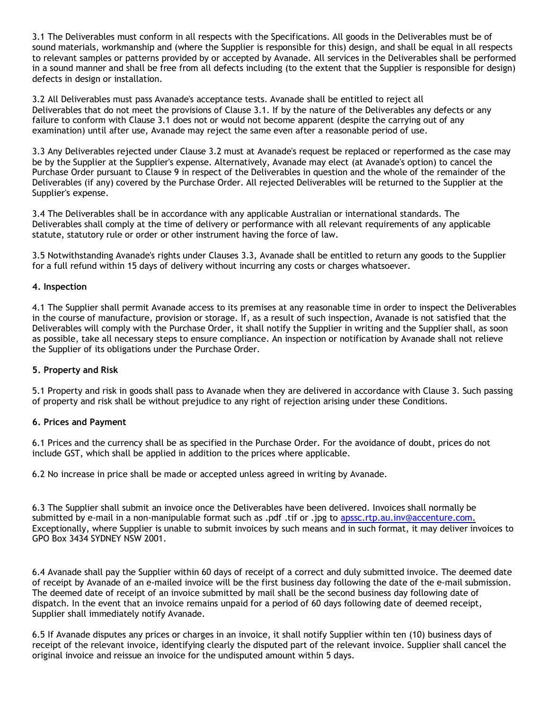3.1 The Deliverables must conform in all respects with the Specifications. All goods in the Deliverables must be of sound materials, workmanship and (where the Supplier is responsible for this) design, and shall be equal in all respects to relevant samples or patterns provided by or accepted by Avanade. All services in the Deliverables shall be performed in a sound manner and shall be free from all defects including (to the extent that the Supplier is responsible for design) defects in design or installation.

3.2 All Deliverables must pass Avanade's acceptance tests. Avanade shall be entitled to reject all Deliverables that do not meet the provisions of Clause 3.1. If by the nature of the Deliverables any defects or any failure to conform with Clause 3.1 does not or would not become apparent (despite the carrying out of any examination) until after use, Avanade may reject the same even after a reasonable period of use.

3.3 Any Deliverables rejected under Clause 3.2 must at Avanade's request be replaced or reperformed as the case may be by the Supplier at the Supplier's expense. Alternatively, Avanade may elect (at Avanade's option) to cancel the Purchase Order pursuant to Clause 9 in respect of the Deliverables in question and the whole of the remainder of the Deliverables (if any) covered by the Purchase Order. All rejected Deliverables will be returned to the Supplier at the Supplier's expense.

3.4 The Deliverables shall be in accordance with any applicable Australian or international standards. The Deliverables shall comply at the time of delivery or performance with all relevant requirements of any applicable statute, statutory rule or order or other instrument having the force of law.

3.5 Notwithstanding Avanade's rights under Clauses 3.3, Avanade shall be entitled to return any goods to the Supplier for a full refund within 15 days of delivery without incurring any costs or charges whatsoever.

### 4. Inspection

4.1 The Supplier shall permit Avanade access to its premises at any reasonable time in order to inspect the Deliverables in the course of manufacture, provision or storage. If, as a result of such inspection, Avanade is not satisfied that the Deliverables will comply with the Purchase Order, it shall notify the Supplier in writing and the Supplier shall, as soon as possible, take all necessary steps to ensure compliance. An inspection or notification by Avanade shall not relieve the Supplier of its obligations under the Purchase Order.

## 5. Property and Risk

5.1 Property and risk in goods shall pass to Avanade when they are delivered in accordance with Clause 3. Such passing of property and risk shall be without prejudice to any right of rejection arising under these Conditions.

#### 6. Prices and Payment

6.1 Prices and the currency shall be as specified in the Purchase Order. For the avoidance of doubt, prices do not include GST, which shall be applied in addition to the prices where applicable.

6.2 No increase in price shall be made or accepted unless agreed in writing by Avanade.

6.3 The Supplier shall submit an invoice once the Deliverables have been delivered. Invoices shall normally be submitted by e-mail in a non-manipulable format such as .pdf .tif or .jpg to apssc.rtp.au.inv@accenture.com. Exceptionally, where Supplier is unable to submit invoices by such means and in such format, it may deliver invoices to GPO Box 3434 SYDNEY NSW 2001.

6.4 Avanade shall pay the Supplier within 60 days of receipt of a correct and duly submitted invoice. The deemed date of receipt by Avanade of an e-mailed invoice will be the first business day following the date of the e-mail submission. The deemed date of receipt of an invoice submitted by mail shall be the second business day following date of dispatch. In the event that an invoice remains unpaid for a period of 60 days following date of deemed receipt, Supplier shall immediately notify Avanade.

6.5 If Avanade disputes any prices or charges in an invoice, it shall notify Supplier within ten (10) business days of receipt of the relevant invoice, identifying clearly the disputed part of the relevant invoice. Supplier shall cancel the original invoice and reissue an invoice for the undisputed amount within 5 days.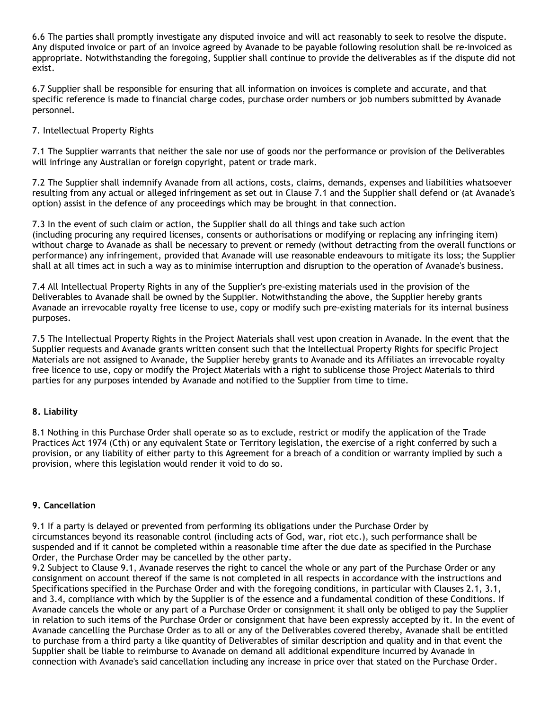6.6 The parties shall promptly investigate any disputed invoice and will act reasonably to seek to resolve the dispute. Any disputed invoice or part of an invoice agreed by Avanade to be payable following resolution shall be re-invoiced as appropriate. Notwithstanding the foregoing, Supplier shall continue to provide the deliverables as if the dispute did not exist.

6.7 Supplier shall be responsible for ensuring that all information on invoices is complete and accurate, and that specific reference is made to financial charge codes, purchase order numbers or job numbers submitted by Avanade personnel.

# 7. Intellectual Property Rights

7.1 The Supplier warrants that neither the sale nor use of goods nor the performance or provision of the Deliverables will infringe any Australian or foreign copyright, patent or trade mark.

7.2 The Supplier shall indemnify Avanade from all actions, costs, claims, demands, expenses and liabilities whatsoever resulting from any actual or alleged infringement as set out in Clause 7.1 and the Supplier shall defend or (at Avanade's option) assist in the defence of any proceedings which may be brought in that connection.

7.3 In the event of such claim or action, the Supplier shall do all things and take such action (including procuring any required licenses, consents or authorisations or modifying or replacing any infringing item) without charge to Avanade as shall be necessary to prevent or remedy (without detracting from the overall functions or performance) any infringement, provided that Avanade will use reasonable endeavours to mitigate its loss; the Supplier shall at all times act in such a way as to minimise interruption and disruption to the operation of Avanade's business.

7.4 All Intellectual Property Rights in any of the Supplier's pre-existing materials used in the provision of the Deliverables to Avanade shall be owned by the Supplier. Notwithstanding the above, the Supplier hereby grants Avanade an irrevocable royalty free license to use, copy or modify such pre-existing materials for its internal business purposes.

7.5 The Intellectual Property Rights in the Project Materials shall vest upon creation in Avanade. In the event that the Supplier requests and Avanade grants written consent such that the Intellectual Property Rights for specific Project Materials are not assigned to Avanade, the Supplier hereby grants to Avanade and its Affiliates an irrevocable royalty free licence to use, copy or modify the Project Materials with a right to sublicense those Project Materials to third parties for any purposes intended by Avanade and notified to the Supplier from time to time.

## 8. Liability

8.1 Nothing in this Purchase Order shall operate so as to exclude, restrict or modify the application of the Trade Practices Act 1974 (Cth) or any equivalent State or Territory legislation, the exercise of a right conferred by such a provision, or any liability of either party to this Agreement for a breach of a condition or warranty implied by such a provision, where this legislation would render it void to do so.

## 9. Cancellation

9.1 If a party is delayed or prevented from performing its obligations under the Purchase Order by circumstances beyond its reasonable control (including acts of God, war, riot etc.), such performance shall be suspended and if it cannot be completed within a reasonable time after the due date as specified in the Purchase Order, the Purchase Order may be cancelled by the other party.

9.2 Subject to Clause 9.1, Avanade reserves the right to cancel the whole or any part of the Purchase Order or any consignment on account thereof if the same is not completed in all respects in accordance with the instructions and Specifications specified in the Purchase Order and with the foregoing conditions, in particular with Clauses 2.1, 3.1, and 3.4, compliance with which by the Supplier is of the essence and a fundamental condition of these Conditions. If Avanade cancels the whole or any part of a Purchase Order or consignment it shall only be obliged to pay the Supplier in relation to such items of the Purchase Order or consignment that have been expressly accepted by it. In the event of Avanade cancelling the Purchase Order as to all or any of the Deliverables covered thereby, Avanade shall be entitled to purchase from a third party a like quantity of Deliverables of similar description and quality and in that event the Supplier shall be liable to reimburse to Avanade on demand all additional expenditure incurred by Avanade in connection with Avanade's said cancellation including any increase in price over that stated on the Purchase Order.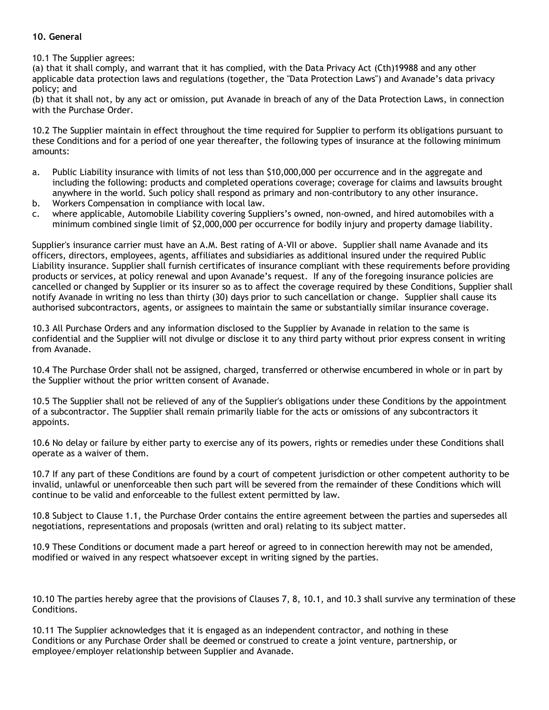### 10. General

10.1 The Supplier agrees:

(a) that it shall comply, and warrant that it has complied, with the Data Privacy Act (Cth)19988 and any other applicable data protection laws and regulations (together, the "Data Protection Laws") and Avanade's data privacy policy; and

(b) that it shall not, by any act or omission, put Avanade in breach of any of the Data Protection Laws, in connection with the Purchase Order.

10.2 The Supplier maintain in effect throughout the time required for Supplier to perform its obligations pursuant to these Conditions and for a period of one year thereafter, the following types of insurance at the following minimum amounts:

- a. Public Liability insurance with limits of not less than \$10,000,000 per occurrence and in the aggregate and including the following: products and completed operations coverage; coverage for claims and lawsuits brought anywhere in the world. Such policy shall respond as primary and non-contributory to any other insurance.
- b. Workers Compensation in compliance with local law.
- c. where applicable, Automobile Liability covering Suppliers's owned, non-owned, and hired automobiles with a minimum combined single limit of \$2,000,000 per occurrence for bodily injury and property damage liability.

Supplier's insurance carrier must have an A.M. Best rating of A-VII or above. Supplier shall name Avanade and its officers, directors, employees, agents, affiliates and subsidiaries as additional insured under the required Public Liability insurance. Supplier shall furnish certificates of insurance compliant with these requirements before providing products or services, at policy renewal and upon Avanade's request. If any of the foregoing insurance policies are cancelled or changed by Supplier or its insurer so as to affect the coverage required by these Conditions, Supplier shall notify Avanade in writing no less than thirty (30) days prior to such cancellation or change. Supplier shall cause its authorised subcontractors, agents, or assignees to maintain the same or substantially similar insurance coverage.

10.3 All Purchase Orders and any information disclosed to the Supplier by Avanade in relation to the same is confidential and the Supplier will not divulge or disclose it to any third party without prior express consent in writing from Avanade.

10.4 The Purchase Order shall not be assigned, charged, transferred or otherwise encumbered in whole or in part by the Supplier without the prior written consent of Avanade.

10.5 The Supplier shall not be relieved of any of the Supplier's obligations under these Conditions by the appointment of a subcontractor. The Supplier shall remain primarily liable for the acts or omissions of any subcontractors it appoints.

10.6 No delay or failure by either party to exercise any of its powers, rights or remedies under these Conditions shall operate as a waiver of them.

10.7 If any part of these Conditions are found by a court of competent jurisdiction or other competent authority to be invalid, unlawful or unenforceable then such part will be severed from the remainder of these Conditions which will continue to be valid and enforceable to the fullest extent permitted by law.

10.8 Subject to Clause 1.1, the Purchase Order contains the entire agreement between the parties and supersedes all negotiations, representations and proposals (written and oral) relating to its subject matter.

10.9 These Conditions or document made a part hereof or agreed to in connection herewith may not be amended, modified or waived in any respect whatsoever except in writing signed by the parties.

10.10 The parties hereby agree that the provisions of Clauses 7, 8, 10.1, and 10.3 shall survive any termination of these Conditions.

10.11 The Supplier acknowledges that it is engaged as an independent contractor, and nothing in these Conditions or any Purchase Order shall be deemed or construed to create a joint venture, partnership, or employee/employer relationship between Supplier and Avanade.